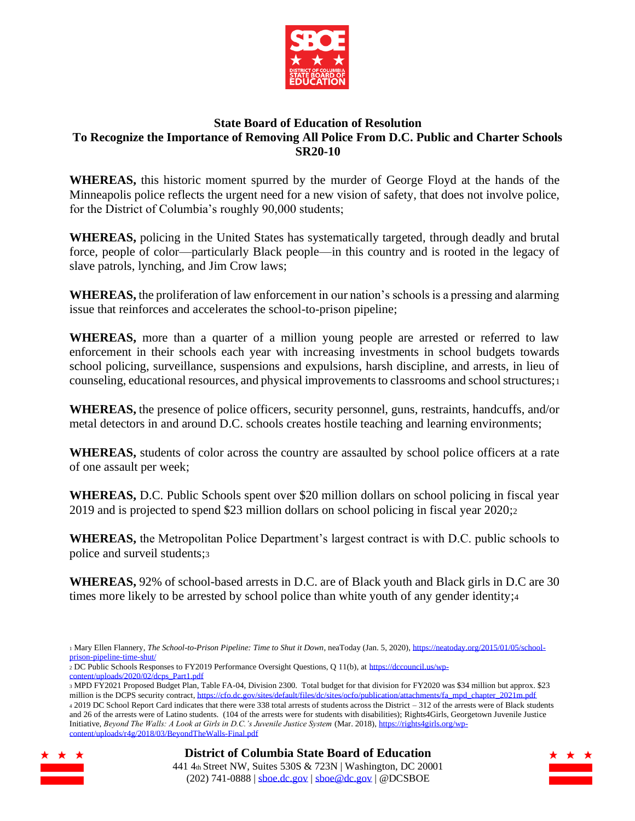

## **State Board of Education of Resolution To Recognize the Importance of Removing All Police From D.C. Public and Charter Schools SR20-10**

**WHEREAS,** this historic moment spurred by the murder of George Floyd at the hands of the Minneapolis police reflects the urgent need for a new vision of safety, that does not involve police, for the District of Columbia's roughly 90,000 students;

**WHEREAS,** policing in the United States has systematically targeted, through deadly and brutal force, people of color—particularly Black people—in this country and is rooted in the legacy of slave patrols, lynching, and Jim Crow laws;

**WHEREAS,** the proliferation of law enforcement in our nation's schools is a pressing and alarming issue that reinforces and accelerates the school-to-prison pipeline;

**WHEREAS,** more than a quarter of a million young people are arrested or referred to law enforcement in their schools each year with increasing investments in school budgets towards school policing, surveillance, suspensions and expulsions, harsh discipline, and arrests, in lieu of counseling, educational resources, and physical improvements to classrooms and school structures;<sup>1</sup>

**WHEREAS,** the presence of police officers, security personnel, guns, restraints, handcuffs, and/or metal detectors in and around D.C. schools creates hostile teaching and learning environments;

**WHEREAS,** students of color across the country are assaulted by school police officers at a rate of one assault per week;

**WHEREAS,** D.C. Public Schools spent over \$20 million dollars on school policing in fiscal year 2019 and is projected to spend \$23 million dollars on school policing in fiscal year 2020;<sup>2</sup>

**WHEREAS,** the Metropolitan Police Department's largest contract is with D.C. public schools to police and surveil students;<sup>3</sup>

**WHEREAS,** 92% of school-based arrests in D.C. are of Black youth and Black girls in D.C are 30 times more likely to be arrested by school police than white youth of any gender identity;<sup>4</sup>

- <sup>2</sup> DC Public Schools Responses to FY2019 Performance Oversight Questions, Q 11(b), at [https://dccouncil.us/wp](https://dccouncil.us/wp-content/uploads/2020/02/dcps_Part1.pdf)[content/uploads/2020/02/dcps\\_Part1.pdf](https://dccouncil.us/wp-content/uploads/2020/02/dcps_Part1.pdf)
- <sup>3</sup> MPD FY2021 Proposed Budget Plan, Table FA-04, Division 2300. Total budget for that division for FY2020 was \$34 million but approx. \$23 million is the DCPS security contract[, https://cfo.dc.gov/sites/default/files/dc/sites/ocfo/publication/attachments/fa\\_mpd\\_chapter\\_2021m.pdf](https://cfo.dc.gov/sites/default/files/dc/sites/ocfo/publication/attachments/fa_mpd_chapter_2021m.pdf) <sup>4</sup> 2019 DC School Report Card indicates that there were 338 total arrests of students across the District – 312 of the arrests were of Black students and 26 of the arrests were of Latino students. (104 of the arrests were for students with disabilities); Rights4Girls, Georgetown Juvenile Justice Initiative, *Beyond The Walls: A Look at Girls in D.C.'s Juvenile Justice System* (Mar. 2018)[, https://rights4girls.org/wp-](https://rights4girls.org/wp-content/uploads/r4g/2018/03/BeyondTheWalls-Final.pdf)

[content/uploads/r4g/2018/03/BeyondTheWalls-Final.pdf](https://rights4girls.org/wp-content/uploads/r4g/2018/03/BeyondTheWalls-Final.pdf)





<sup>1</sup> Mary Ellen Flannery, *The School-to-Prison Pipeline: Time to Shut it Down*, neaToday (Jan. 5, 2020)[, https://neatoday.org/2015/01/05/school](https://neatoday.org/2015/01/05/school-prison-pipeline-time-shut/)[prison-pipeline-time-shut/](https://neatoday.org/2015/01/05/school-prison-pipeline-time-shut/)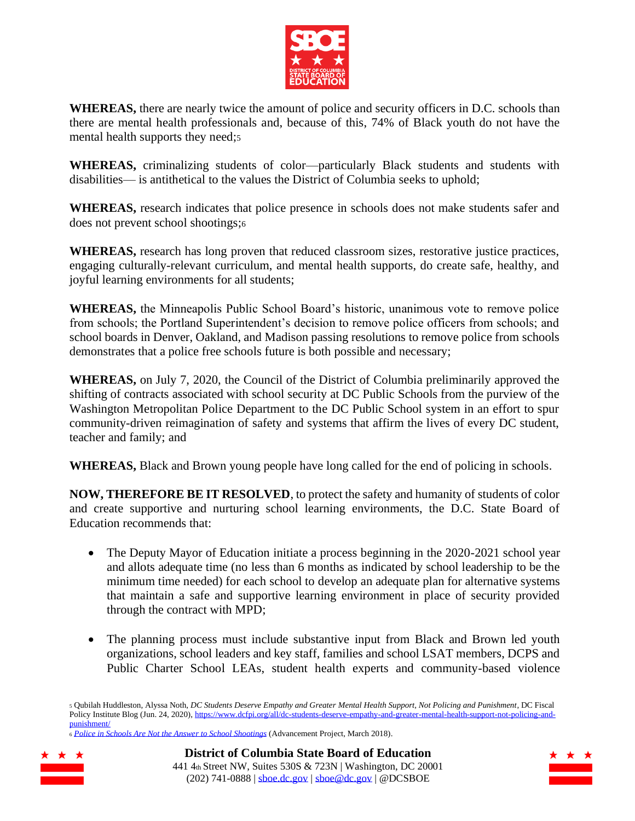

**WHEREAS,** there are nearly twice the amount of police and security officers in D.C. schools than there are mental health professionals and, because of this, 74% of Black youth do not have the mental health supports they need;<sup>5</sup>

**WHEREAS,** criminalizing students of color—particularly Black students and students with disabilities— is antithetical to the values the District of Columbia seeks to uphold;

**WHEREAS,** research indicates that police presence in schools does not make students safer and does not prevent school shootings;<sup>6</sup>

**WHEREAS,** research has long proven that reduced classroom sizes, restorative justice practices, engaging culturally-relevant curriculum, and mental health supports, do create safe, healthy, and joyful learning environments for all students;

**WHEREAS,** the Minneapolis Public School Board's historic, unanimous vote to remove police from schools; the Portland Superintendent's decision to remove police officers from schools; and school boards in Denver, Oakland, and Madison passing resolutions to remove police from schools demonstrates that a police free schools future is both possible and necessary;

**WHEREAS,** on July 7, 2020, the Council of the District of Columbia preliminarily approved the shifting of contracts associated with school security at DC Public Schools from the purview of the Washington Metropolitan Police Department to the DC Public School system in an effort to spur community-driven reimagination of safety and systems that affirm the lives of every DC student, teacher and family; and

**WHEREAS,** Black and Brown young people have long called for the end of policing in schools.

**NOW, THEREFORE BE IT RESOLVED**, to protect the safety and humanity of students of color and create supportive and nurturing school learning environments, the D.C. State Board of Education recommends that:

- The Deputy Mayor of Education initiate a process beginning in the 2020-2021 school year and allots adequate time (no less than 6 months as indicated by school leadership to be the minimum time needed) for each school to develop an adequate plan for alternative systems that maintain a safe and supportive learning environment in place of security provided through the contract with MPD;
- The planning process must include substantive input from Black and Brown led youth organizations, school leaders and key staff, families and school LSAT members, DCPS and Public Charter School LEAs, student health experts and community-based violence

<sup>6</sup> *[Police in Schools Are Not the Answer to School Shootings](https://advancementproject.org/resources/police-schools-not-answer-school-shootings/)* (Advancement Project, March 2018).







<sup>5</sup> Qubilah Huddleston, Alyssa Noth, *DC Students Deserve Empathy and Greater Mental Health Support, Not Policing and Punishment*, DC Fiscal Policy Institute Blog (Jun. 24, 2020)[, https://www.dcfpi.org/all/dc-students-deserve-empathy-and-greater-mental-health-support-not-policing-and](https://www.dcfpi.org/all/dc-students-deserve-empathy-and-greater-mental-health-support-not-policing-and-punishment/)[punishment/](https://www.dcfpi.org/all/dc-students-deserve-empathy-and-greater-mental-health-support-not-policing-and-punishment/)